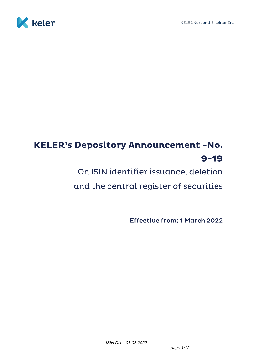

# **KELER's Depository Announcement -No.**  $9 - 19$

On ISIN identifier issuance, deletion

and the central register of securities

**Effective from: 1 March 2022**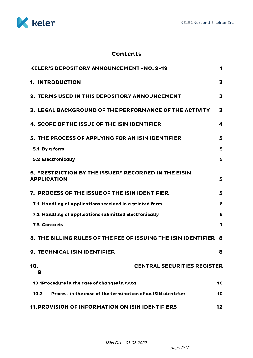

# **Contents**

| <b>KELER'S DEPOSITORY ANNOUNCEMENT -NO. 9-19</b>                           | 1            |
|----------------------------------------------------------------------------|--------------|
| 1. INTRODUCTION                                                            | 3            |
| <b>2. TERMS USED IN THIS DEPOSITORY ANNOUNCEMENT</b>                       | $\mathbf{3}$ |
| 3. LEGAL BACKGROUND OF THE PERFORMANCE OF THE ACTIVITY                     | 3            |
| 4. SCOPE OF THE ISSUE OF THE ISIN IDENTIFIER                               | 4            |
| 5. THE PROCESS OF APPLYING FOR AN ISIN IDENTIFIER                          | 5            |
| 5.1 By a form                                                              | 5            |
| <b>5.2 Electronically</b>                                                  | 5            |
| 6. "RESTRICTION BY THE ISSUER" RECORDED IN THE EISIN<br><b>APPLICATION</b> | 5            |
| <b>7. PROCESS OF THE ISSUE OF THE ISIN IDENTIFIER</b>                      | 5            |
| 7.1 Handling of applications received in a printed form                    | 6            |
| 7.2 Handling of applications submitted electronically                      | 6            |
| 7.3 Contacts                                                               | 7            |
| 8. THE BILLING RULES OF THE FEE OF ISSUING THE ISIN IDENTIFIER             | 8            |
| <b>9. TECHNICAL ISIN IDENTIFIER</b>                                        | 8            |
| <b>CENTRAL SECURITIES REGISTER</b><br>10.<br>9                             |              |
| 10.1Procedure in the case of changes in data                               | 10           |
| Process in the case of the termination of an ISIN identifier<br>10.2       | 10           |
| <b>11. PROVISION OF INFORMATION ON ISIN IDENTIFIERS</b>                    | 12           |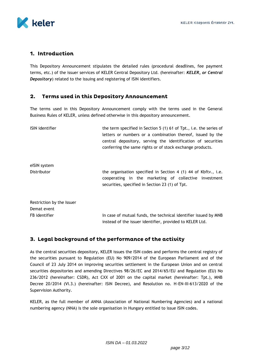

## 1. Introduction

This Depository Announcement stipulates the detailed rules (procedural deadlines, fee payment terms, etc.) of the issuer services of KELER Central Depository Ltd. (hereinafter: *KELER, or Central Depository*) related to the issuing and registering of ISIN identifiers.

#### $2.$ **Terms used in this Depository Announcement**

The terms used in this Depository Announcement comply with the terms used in the General Business Rules of KELER, unless defined otherwise in this depository announcement.

| <b>ISIN</b> identifier    | the term specified in Section 5 (1) 61 of Tpt., i.e. the series of<br>letters or numbers or a combination thereof, issued by the<br>central depository, serving the identification of securities<br>conferring the same rights or of stock exchange products. |
|---------------------------|---------------------------------------------------------------------------------------------------------------------------------------------------------------------------------------------------------------------------------------------------------------|
| eISIN system              |                                                                                                                                                                                                                                                               |
| Distributor               | the organisation specified in Section 4 (1) 44 of Kbftv., i.e.<br>cooperating in the marketing of collective investment<br>securities, specified in Section 23 (1) of Tpt.                                                                                    |
| Restriction by the Issuer |                                                                                                                                                                                                                                                               |
| Demat event               |                                                                                                                                                                                                                                                               |
| FB identifier             | In case of mutual funds, the technical identifier issued by MNB<br>instead of the issuer identifier, provided to KELER Ltd.                                                                                                                                   |

# 3. Legal background of the performance of the activity

As the central securities depository, KELER issues the ISIN codes and performs the central registry of the securities pursuant to Regulation (EU) No 909/2014 of the European Parliament and of the Council of 23 July 2014 on improving securities settlement in the European Union and on central securities depositories and amending Directives 98/26/EC and 2014/65/EU and Regulation (EU) No 236/2012 (hereinafter: CSDR), Act CXX of 2001 on the capital market (hereinafter: Tpt.), MNB Decree 20/2014 (VI.3.) (hereinafter: ISIN Decree), and Resolution no. H-EN-III-613/2020 of the Supervision Authority.

KELER, as the full member of ANNA (Association of National Numbering Agencies) and a national numbering agency (NNA) is the sole organisation in Hungary entitled to issue ISIN codes.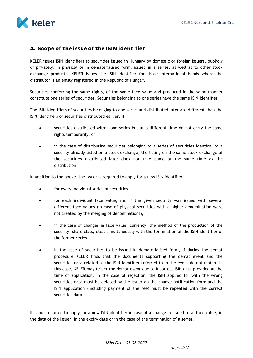

### 4. Scope of the issue of the ISIN identifier

KELER issues ISIN identifiers to securities issued in Hungary by domestic or foreign issuers, publicly or privately, in physical or in dematerialised form, issued in a series, as well as to other stock exchange products. KELER issues the ISIN identifier for those international bonds where the distributor is an entity registered in the Republic of Hungary.

Securities conferring the same rights, of the same face value and produced in the same manner constitute one series of securities. Securities belonging to one series have the same ISIN identifier.

The ISIN identifiers of securities belonging to one series and distributed later are different than the ISIN identifiers of securities distributed earlier, if

- securities distributed within one series but at a different time do not carry the same rights temporarily, or
- in the case of distributing securities belonging to a series of securities identical to a security already listed on a stock exchange, the listing on the same stock exchange of the securities distributed later does not take place at the same time as the distribution.

In addition to the above, the Issuer is required to apply for a new ISIN identifier

- for every individual series of securities,
- for each individual face value, i.e. if the given security was issued with several different face values (in case of physical securities with a higher denomination were not created by the merging of denominations),
- in the case of changes in face value, currency, the method of the production of the security, share class, etc., simultaneously with the termination of the ISIN identifier of the former series.
- In the case of securities to be issued in dematerialised form, if during the demat procedure KELER finds that the documents supporting the demat event and the securities data related to the ISIN identifier referred to in the event do not match. In this case, KELER may reject the demat event due to incorrect ISIN data provided at the time of application. In the case of rejection, the ISIN applied for with the wrong securities data must be deleted by the Issuer on the change notification form and the ISIN application (including payment of the fee) must be repeated with the correct securities data.

It is not required to apply for a new ISIN identifier in case of a change in issued total face value, in the data of the Issuer, in the expiry date or in the case of the termination of a series.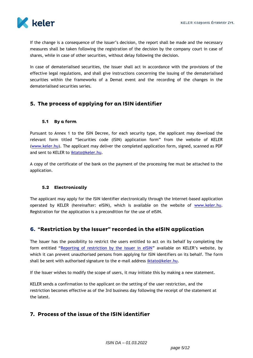

If the change is a consequence of the issuer's decision, the report shall be made and the necessary measures shall be taken following the registration of the decision by the company court in case of shares, while in case of other securities, without delay following the decision.

In case of dematerialised securities, the Issuer shall act in accordance with the provisions of the effective legal regulations, and shall give instructions concerning the issuing of the dematerialised securities within the frameworks of a Demat event and the recording of the changes in the dematerialised securities series.

# 5. The process of applying for an ISIN identifier

#### 5.1 By a form

Pursuant to Annex 1 to the ISIN Decree, for each security type, the applicant may download the relevant form titled "Securities code (ISIN) application form" from the website of KELER [\(www.keler.hu\)](http://www.keler.hu/). The applicant may deliver the completed application form, signed, scanned as PDF and sent to KELER to [iktato@keler.hu.](mailto:iktato@keler.hu)

A copy of the certificate of the bank on the payment of the processing fee must be attached to the application.

#### 5.2 Electronically

The applicant may apply for the ISIN identifier electronically through the Internet-based application operated by KELER (hereinafter: eISIN), which is available on the website of [www.keler.hu.](http://www.keler.hu/) Registration for the application is a precondition for the use of eISIN.

### 6. "Restriction by the Issuer" recorded in the eISIN application

The Issuer has the possibility to restrict the users entitled to act on its behalf by completing the form entitled "[Reporting of restriction by the issuer in eISIN](http://www.keler.hu/keler/keler.listhead.news.page?nodeid=1220)" available on KELER's website, by which it can prevent unauthorised persons from applying for ISIN identifiers on its behalf. The form shall be sent with authorised signature to the e-mail address [iktato@keler.hu.](mailto:iktato@keler.hu)

If the Issuer wishes to modify the scope of users, it may initiate this by making a new statement.

KELER sends a confirmation to the applicant on the setting of the user restriction, and the restriction becomes effective as of the 3rd business day following the receipt of the statement at the latest.

### 7. Process of the issue of the ISIN identifier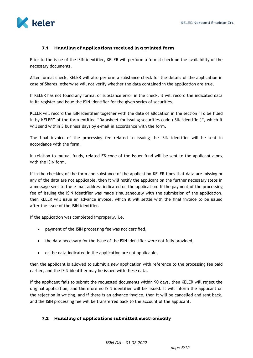

#### Handling of applications received in a printed form  $7.1$

Prior to the issue of the ISIN identifier, KELER will perform a formal check on the availability of the necessary documents.

After formal check, KELER will also perform a substance check for the details of the application in case of Shares, otherwise will not verify whether the data contained in the application are true.

If KELER has not found any formal or substance error in the check, it will record the indicated data in its register and issue the ISIN identifier for the given series of securities.

KELER will record the ISIN identifier together with the date of allocation in the section "To be filled in by KELER" of the form entitled "Datasheet for issuing securities code (ISIN identifier)", which it will send within 3 business days by e-mail in accordance with the form.

The final invoice of the processing fee related to issuing the ISIN identifier will be sent in accordance with the form.

In relation to mutual funds, related FB code of the Issuer fund will be sent to the applicant along with the ISIN form.

If in the checking of the form and substance of the application KELER finds that data are missing or any of the data are not applicable, then it will notify the applicant on the further necessary steps in a message sent to the e-mail address indicated on the application. If the payment of the processing fee of issuing the ISIN identifier was made simultaneously with the submission of the application, then KELER will issue an advance invoice, which it will settle with the final invoice to be issued after the issue of the ISIN identifier.

If the application was completed improperly, i.e.

- payment of the ISIN processing fee was not certified,
- the data necessary for the issue of the ISIN identifier were not fully provided,
- or the data indicated in the application are not applicable,

then the applicant is allowed to submit a new application with reference to the processing fee paid earlier, and the ISIN identifier may be issued with these data.

If the applicant fails to submit the requested documents within 90 days, then KELER will reject the original application, and therefore no ISIN identifier will be issued. It will inform the applicant on the rejection in writing, and if there is an advance invoice, then it will be cancelled and sent back, and the ISIN processing fee will be transferred back to the account of the applicant.

#### 7.2 Handling of applications submitted electronically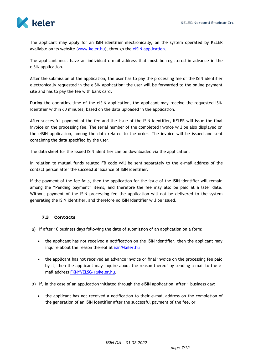

The applicant may apply for an ISIN identifier electronically, on the system operated by KELER available on its website (www.keler.hu), through the [eISIN application.](https://isin.keler.hu/user/inputLogin.action)

The applicant must have an individual e-mail address that must be registered in advance in the eISIN application.

After the submission of the application, the user has to pay the processing fee of the ISIN identifier electronically requested in the eISIN application: the user will be forwarded to the online payment site and has to pay the fee with bank card.

During the operating time of the eISIN application, the applicant may receive the requested ISIN identifier within 60 minutes, based on the data uploaded in the application.

After successful payment of the fee and the issue of the ISIN identifier, KELER will issue the final invoice on the processing fee. The serial number of the completed invoice will be also displayed on the eISIN application, among the data related to the order. The invoice will be issued and sent containing the data specified by the user.

The data sheet for the issued ISIN identifier can be downloaded via the application.

In relation to mutual funds related FB code will be sent separately to the e-mail address of the contact person after the successful issuance of ISIN identifier.

If the payment of the fee fails, then the application for the issue of the ISIN identifier will remain among the "Pending payment" items, and therefore the fee may also be paid at a later date. Without payment of the ISIN processing fee the application will not be delivered to the system generating the ISIN identifier, and therefore no ISIN identifier will be issued.

#### 7.3 Contacts

- a) If after 10 business days following the date of submission of an application on a form:
	- the applicant has not received a notification on the ISIN identifier, then the applicant may inquire about the reason thereof at [isin@keler.hu](mailto:isin@keler.hu)
	- the applicant has not received an advance invoice or final invoice on the processing fee paid by it, then the applicant may inquire about the reason thereof by sending a mail to the email address [FKNYVELSG-1@keler.hu.](mailto:FKNYVELSG-1@keler.hu)
- b) If, in the case of an application initiated through the eISIN application, after 1 business day:
	- the applicant has not received a notification to their e-mail address on the completion of the generation of an ISIN identifier after the successful payment of the fee, or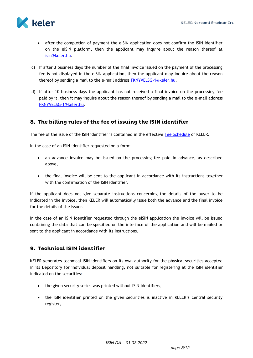

- after the completion of payment the eISIN application does not confirm the ISIN identifier on the eISIN platform, then the applicant may inquire about the reason thereof at [isin@keler.hu.](mailto:isin@keler.hu)
- c) If after 3 business days the number of the final invoice issued on the payment of the processing fee is not displayed in the eISIN application, then the applicant may inquire about the reason thereof by sending a mail to the e-mail address [FKNYVELSG-1@keler.hu.](mailto:FKNYVELSG-1@keler.hu)
- d) If after 10 business days the applicant has not received a final invoice on the processing fee paid by it, then it may inquire about the reason thereof by sending a mail to the e-mail address [FKNYVELSG-1@keler.hu.](mailto:FKNYVELSG-1@keler.hu)

# 8. The billing rules of the fee of issuing the ISIN identifier

The fee of the issue of the ISIN identifier is contained in the effective [Fee Schedule](http://www.keler.hu/keler/keler.news.page?nodeid=285) of KELER.

In the case of an ISIN identifier requested on a form:

- an advance invoice may be issued on the processing fee paid in advance, as described above,
- the final invoice will be sent to the applicant in accordance with its instructions together with the confirmation of the ISIN identifier.

If the applicant does not give separate instructions concerning the details of the buyer to be indicated in the invoice, then KELER will automatically issue both the advance and the final invoice for the details of the Issuer.

In the case of an ISIN identifier requested through the eISIN application the invoice will be issued containing the data that can be specified on the interface of the application and will be mailed or sent to the applicant in accordance with its instructions.

### 9. Technical ISIN identifier

KELER generates technical ISIN identifiers on its own authority for the physical securities accepted in its Depository for individual deposit handling, not suitable for registering at the ISIN identifier indicated on the securities:

- the given security series was printed without ISIN identifiers,
- the ISIN identifier printed on the given securities is inactive in KELER's central security register,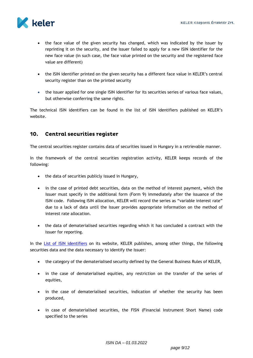

- the face value of the given security has changed, which was indicated by the issuer by reprinting it on the security, and the issuer failed to apply for a new ISIN identifier for the new face value (in such case, the face value printed on the security and the registered face value are different)
- the ISIN identifier printed on the given security has a different face value in KELER's central security register than on the printed security
- the issuer applied for one single ISIN identifier for its securities series of various face values, but otherwise conferring the same rights.

The technical ISIN identifiers can be found in the list of ISIN identifiers published on KELER's website.

#### $10<sub>1</sub>$ Central securities register

The central securities register contains data of securities issued in Hungary in a retrievable manner.

In the framework of the central securities registration activity, KELER keeps records of the following:

- the data of securities publicly issued in Hungary,
- in the case of printed debt securities, data on the method of interest payment, which the Issuer must specify in the additional form (Form 9) immediately after the issuance of the ISIN code. Following ISIN allocation, KELER will record the series as "variable interest rate" due to a lack of data until the Issuer provides appropriate information on the method of interest rate allocation.
- the data of dematerialised securities regarding which it has concluded a contract with the issuer for reporting.

In the [List of ISIN identifiers](https://edemat.keler.hu/eib_webadmin/edematorderlistaction) on its website, KELER publishes, among other things, the following securities data and the data necessary to identify the Issuer:

- the category of the dematerialised security defined by the General Business Rules of KELER,
- in the case of dematerialised equities, any restriction on the transfer of the series of equities,
- in the case of dematerialised securities, indication of whether the security has been produced,
- in case of dematerialised securities, the FISN (Financial Instrument Short Name) code specified to the series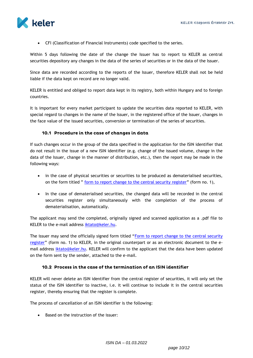

CFI (Classification of Financial Instruments) code specified to the series.

Within 5 days following the date of the change the Issuer has to report to KELER as central securities depository any changes in the data of the series of securities or in the data of the Issuer.

Since data are recorded according to the reports of the Issuer, therefore KELER shall not be held liable if the data kept on record are no longer valid.

KELER is entitled and obliged to report data kept in its registry, both within Hungary and to foreign countries.

It is important for every market participant to update the securities data reported to KELER, with special regard to changes in the name of the Issuer, in the registered office of the Issuer, changes in the face value of the issued securities, conversion or termination of the series of securities.

#### 10.1 Procedure in the case of changes in data

If such changes occur in the group of the data specified in the application for the ISIN identifier that do not result in the issue of a new ISIN identifier (e.g. change of the issued volume, change in the data of the Issuer, change in the manner of distribution, etc.), then the report may be made in the following ways:

- in the case of physical securities or securities to be produced as dematerialised securities, on the form titled " <u>[form to report change to the central security register](https://www.keler.hu/Dokumentumtár/Formanyomtatványok/ISIN%20nyomtatványok/2022_02_01_1.%20Változasbejelento%20kozpont%20ertekpapir%20nyilvantartashoz.pdf?download)</u>" (form no. 1),
- In the case of dematerialised securities, the changed data will be recorded in the central securities register only simultaneously with the completion of the process of dematerialisation, automatically.

The applicant may send the completed, originally signed and scanned application as a .pdf file to KELER to the e-mail address [iktato@keler.hu.](mailto:iktato@keler.hu)

The issuer may send the officially signed form titled "[Form to report change to the central security](https://www.keler.hu/Dokumentumtár/Formanyomtatványok/ISIN%20nyomtatványok/2022_02_01_1.%20Változasbejelento%20kozpont%20ertekpapir%20nyilvantartashoz.pdf?download)  [register](https://www.keler.hu/Dokumentumtár/Formanyomtatványok/ISIN%20nyomtatványok/2022_02_01_1.%20Változasbejelento%20kozpont%20ertekpapir%20nyilvantartashoz.pdf?download)" (form no. 1) to KELER, in the original counterpart or as an electronic document to the email address [iktato@keler.hu.](mailto:iktato@keler.hu) KELER will confirm to the applicant that the data have been updated on the form sent by the sender, attached to the e-mail.

#### 10.2 Process in the case of the termination of an ISIN identifier

KELER will never delete an ISIN identifier from the central register of securities, it will only set the status of the ISIN identifier to inactive, i.e. it will continue to include it in the central securities register, thereby ensuring that the register is complete.

The process of cancellation of an ISIN identifier is the following:

• Based on the instruction of the issuer: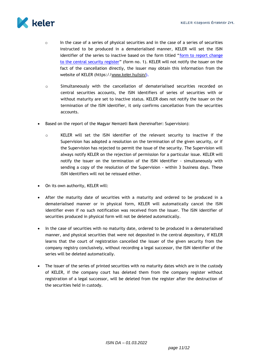

- $\circ$  In the case of a series of physical securities and in the case of a series of securities instructed to be produced in a dematerialised manner, KELER will set the ISIN identifier of the series to inactive based on the form titled "[form to report change](https://www.keler.hu/Dokumentumtár/Formanyomtatványok/ISIN%20nyomtatványok/2022_02_01_1.%20Változasbejelento%20kozpont%20ertekpapir%20nyilvantartashoz.pdf)  [to the central security register](https://www.keler.hu/Dokumentumtár/Formanyomtatványok/ISIN%20nyomtatványok/2022_02_01_1.%20Változasbejelento%20kozpont%20ertekpapir%20nyilvantartashoz.pdf)" (form no. 1). KELER will not notify the issuer on the fact of the cancellation directly, the issuer may obtain this information from the website of KELER (https://www.keler.hu/isin/).
- o Simultaneously with the cancellation of dematerialised securities recorded on central securities accounts, the ISIN identifiers of series of securities with or without maturity are set to inactive status. KELER does not notify the issuer on the termination of the ISIN identifier, it only confirms cancellation from the securities accounts.
- Based on the report of the Magyar Nemzeti Bank (hereinafter: Supervision):
	- o KELER will set the ISIN identifier of the relevant security to inactive if the Supervision has adopted a resolution on the termination of the given security, or if the Supervision has rejected to permit the issue of the security. The Supervision will always notify KELER on the rejection of permission for a particular issue. KELER will notify the issuer on the termination of the ISIN identifier - simultaneously with sending a copy of the resolution of the Supervision - within 3 business days. These ISIN identifiers will not be reissued either.
- On its own authority, KELER will:
- After the maturity date of securities with a maturity and ordered to be produced in a dematerialised manner or in physical form, KELER will automatically cancel the ISIN identifier even if no such notification was received from the issuer. The ISIN identifier of securities produced in physical form will not be deleted automatically.
- In the case of securities with no maturity date, ordered to be produced in a dematerialised manner, and physical securities that were not deposited in the central depository, if KELER learns that the court of registration cancelled the issuer of the given security from the company registry conclusively, without recording a legal successor, the ISIN identifier of the series will be deleted automatically.
- The issuer of the series of printed securities with no maturity dates which are in the custody of KELER, if the company court has deleted them from the company register without registration of a legal successor, will be deleted from the register after the destruction of the securities held in custody.